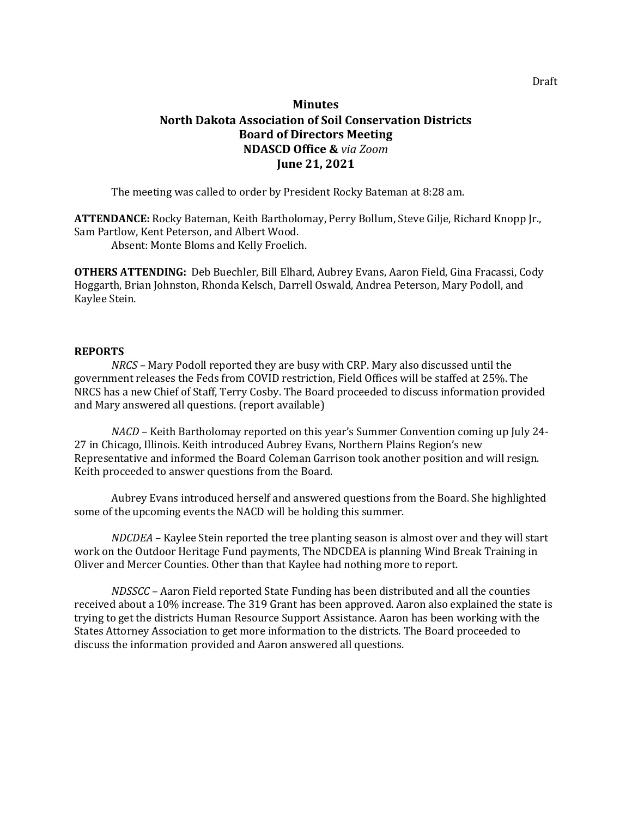# **Minutes North Dakota Association of Soil Conservation Districts Board of Directors Meeting NDASCD Office &** *via Zoom* **June 21, 2021**

The meeting was called to order by President Rocky Bateman at 8:28 am.

**ATTENDANCE:** Rocky Bateman, Keith Bartholomay, Perry Bollum, Steve Gilje, Richard Knopp Jr., Sam Partlow, Kent Peterson, and Albert Wood.

Absent: Monte Bloms and Kelly Froelich.

**OTHERS ATTENDING:** Deb Buechler, Bill Elhard, Aubrey Evans, Aaron Field, Gina Fracassi, Cody Hoggarth, Brian Johnston, Rhonda Kelsch, Darrell Oswald, Andrea Peterson, Mary Podoll, and Kaylee Stein.

## **REPORTS**

*NRCS –* Mary Podoll reported they are busy with CRP. Mary also discussed until the government releases the Feds from COVID restriction, Field Offices will be staffed at 25%. The NRCS has a new Chief of Staff, Terry Cosby. The Board proceeded to discuss information provided and Mary answered all questions. (report available)

*NACD* – Keith Bartholomay reported on this year's Summer Convention coming up July 24- 27 in Chicago, Illinois. Keith introduced Aubrey Evans, Northern Plains Region's new Representative and informed the Board Coleman Garrison took another position and will resign. Keith proceeded to answer questions from the Board.

Aubrey Evans introduced herself and answered questions from the Board. She highlighted some of the upcoming events the NACD will be holding this summer.

*NDCDEA* – Kaylee Stein reported the tree planting season is almost over and they will start work on the Outdoor Heritage Fund payments, The NDCDEA is planning Wind Break Training in Oliver and Mercer Counties. Other than that Kaylee had nothing more to report.

*NDSSCC* – Aaron Field reported State Funding has been distributed and all the counties received about a 10% increase. The 319 Grant has been approved. Aaron also explained the state is trying to get the districts Human Resource Support Assistance. Aaron has been working with the States Attorney Association to get more information to the districts. The Board proceeded to discuss the information provided and Aaron answered all questions.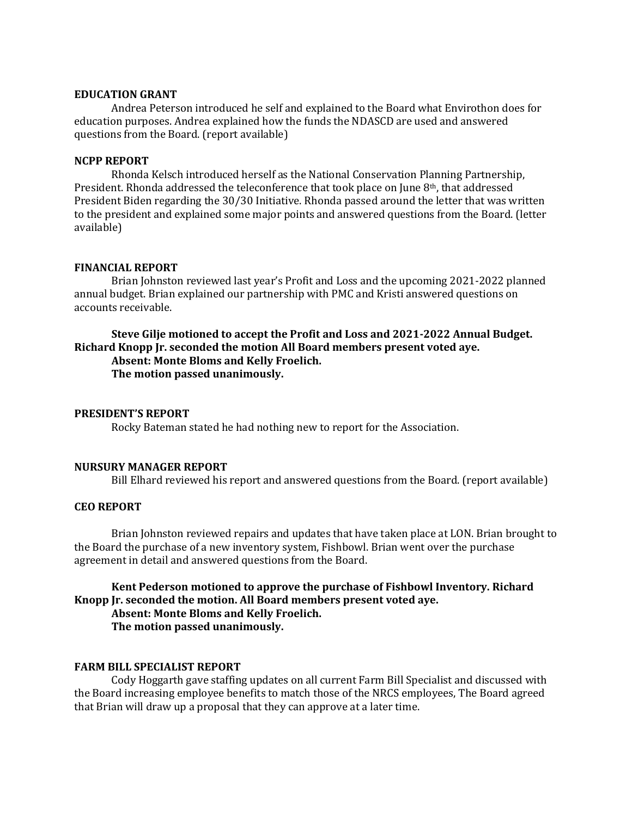#### **EDUCATION GRANT**

Andrea Peterson introduced he self and explained to the Board what Envirothon does for education purposes. Andrea explained how the funds the NDASCD are used and answered questions from the Board. (report available)

#### **NCPP REPORT**

Rhonda Kelsch introduced herself as the National Conservation Planning Partnership, President. Rhonda addressed the teleconference that took place on June 8th, that addressed President Biden regarding the 30/30 Initiative. Rhonda passed around the letter that was written to the president and explained some major points and answered questions from the Board. (letter available)

#### **FINANCIAL REPORT**

Brian Johnston reviewed last year's Profit and Loss and the upcoming 2021-2022 planned annual budget. Brian explained our partnership with PMC and Kristi answered questions on accounts receivable.

# **Steve Gilje motioned to accept the Profit and Loss and 2021-2022 Annual Budget. Richard Knopp Jr. seconded the motion All Board members present voted aye. Absent: Monte Bloms and Kelly Froelich. The motion passed unanimously.**

#### **PRESIDENT'S REPORT**

Rocky Bateman stated he had nothing new to report for the Association.

## **NURSURY MANAGER REPORT**

Bill Elhard reviewed his report and answered questions from the Board. (report available)

#### **CEO REPORT**

Brian Johnston reviewed repairs and updates that have taken place at LON. Brian brought to the Board the purchase of a new inventory system, Fishbowl. Brian went over the purchase agreement in detail and answered questions from the Board.

# **Kent Pederson motioned to approve the purchase of Fishbowl Inventory. Richard Knopp Jr. seconded the motion. All Board members present voted aye. Absent: Monte Bloms and Kelly Froelich. The motion passed unanimously.**

#### **FARM BILL SPECIALIST REPORT**

Cody Hoggarth gave staffing updates on all current Farm Bill Specialist and discussed with the Board increasing employee benefits to match those of the NRCS employees, The Board agreed that Brian will draw up a proposal that they can approve at a later time.